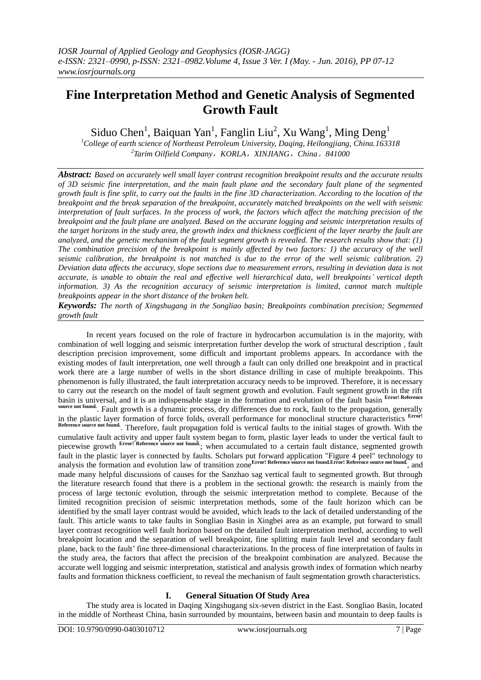# **Fine Interpretation Method and Genetic Analysis of Segmented Growth Fault**

Siduo Chen<sup>1</sup>, Baiquan Yan<sup>1</sup>, Fanglin Liu<sup>2</sup>, Xu Wang<sup>1</sup>, Ming Deng<sup>1</sup>

*<sup>1</sup>College of earth science of Northeast Petroleum University, Daqing, Heilongjiang, China.163318 2 Tarim Oilfield Company*,*KORLA*,*XINJIANG*,*China*。*841000*

*Abstract: Based on accurately well small layer contrast recognition breakpoint results and the accurate results of 3D seismic fine interpretation, and the main fault plane and the secondary fault plane of the segmented growth fault is fine split, to carry out the faults in the fine 3D characterization. According to the location of the breakpoint and the break separation of the breakpoint, accurately matched breakpoints on the well with seismic interpretation of fault surfaces. In the process of work, the factors which affect the matching precision of the breakpoint and the fault plane are analyzed. Based on the accurate logging and seismic interpretation results of the target horizons in the study area, the growth index and thickness coefficient of the layer nearby the fault are analyzed, and the genetic mechanism of the fault segment growth is revealed. The research results show that: (1) The combination precision of the breakpoint is mainly affected by two factors: 1) the accuracy of the well seismic calibration, the breakpoint is not matched is due to the error of the well seismic calibration. 2) Deviation data affects the accuracy, slope sections due to measurement errors, resulting in deviation data is not accurate, is unable to obtain the real and effective well hierarchical data, well breakpoints' vertical depth information. 3) As the recognition accuracy of seismic interpretation is limited, cannot match multiple breakpoints appear in the short distance of the broken belt.*

*Keywords: The north of Xingshugang in the Songliao basin; Breakpoints combination precision; Segmented growth fault*

In recent years focused on the role of fracture in hydrocarbon accumulation is in the majority, with combination of well logging and seismic interpretation further develop the work of structural description , fault description precision improvement, some difficult and important problems appears. In accordance with the existing modes of fault interpretation, one well through a fault can only drilled one breakpoint and in practical work there are a large number of wells in the short distance drilling in case of multiple breakpoints. This phenomenon is fully illustrated, the fault interpretation accuracy needs to be improved. Therefore, it is necessary to carry out the research on the model of fault segment growth and evolution. Fault segment growth in the rift basin is universal, and it is an indispensable stage in the formation and evolution of the fault basin **Error! Reference**  source not found. Fault growth is a dynamic process, dry differences due to rock, fault to the propagation, generally in the plastic layer formation of force folds, overall performance for monoclinal structure characteristics **Error! Requiree not found.** Therefore, fault propagation fold is vertical faults to the initial stages of growth. With the cumulative fault activity and upper fault system began to form, plastic layer leads to under the vertical fault to piecewise growth **Error!** Reference source not found.<br>; when accumulated to a certain fault distance, segmented growth fault in the plastic layer is connected by faults. Scholars put forward application "Figure 4 peel" technology to analysis the formation and evolution law of transition zone<sup>Error!</sup> Reference source not found.Error! Reference source not found. made many helpful discussions of causes for the Sanzhao sag vertical fault to segmented growth. But through the literature research found that there is a problem in the sectional growth: the research is mainly from the process of large tectonic evolution, through the seismic interpretation method to complete. Because of the limited recognition precision of seismic interpretation methods, some of the fault horizon which can be identified by the small layer contrast would be avoided, which leads to the lack of detailed understanding of the fault. This article wants to take faults in Songliao Basin in Xingbei area as an example, put forward to small layer contrast recognition well fault horizon based on the detailed fault interpretation method, according to well breakpoint location and the separation of well breakpoint, fine splitting main fault level and secondary fault plane, back to the fault' fine three-dimensional characterizations. In the process of fine interpretation of faults in the study area, the factors that affect the precision of the breakpoint combination are analyzed. Because the accurate well logging and seismic interpretation, statistical and analysis growth index of formation which nearby faults and formation thickness coefficient, to reveal the mechanism of fault segmentation growth characteristics.

## **I. General Situation Of Study Area**

The study area is located in Daqing Xingshugang six-seven district in the East. Songliao Basin, located in the middle of Northeast China, basin surrounded by mountains, between basin and mountain to deep faults is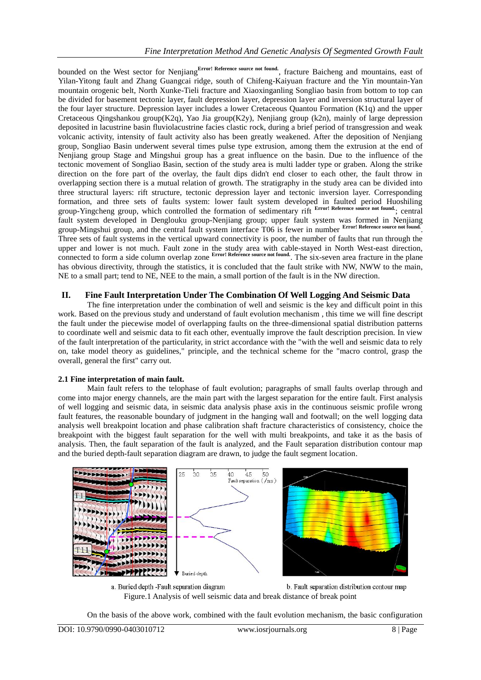bounded on the West sector for Nenjiang<sup>Error! Reference source not found.</sup>, fracture Baicheng and mountains, east of Yilan-Yitong fault and Zhang Guangcai ridge, south of Chifeng-Kaiyuan fracture and the Yin mountain-Yan mountain orogenic belt, North Xunke-Tieli fracture and Xiaoxinganling Songliao basin from bottom to top can be divided for basement tectonic layer, fault depression layer, depression layer and inversion structural layer of the four layer structure. Depression layer includes a lower Cretaceous Quantou Formation (K1q) and the upper Cretaceous Qingshankou group(K2q), Yao Jia group(K2y), Nenjiang group (k2n), mainly of large depression deposited in lacustrine basin fluviolacustrine facies clastic rock, during a brief period of transgression and weak volcanic activity, intensity of fault activity also has been greatly weakened. After the deposition of Nenjiang group, Songliao Basin underwent several times pulse type extrusion, among them the extrusion at the end of Nenjiang group Stage and Mingshui group has a great influence on the basin. Due to the influence of the tectonic movement of Songliao Basin, section of the study area is multi ladder type or graben. Along the strike direction on the fore part of the overlay, the fault dips didn't end closer to each other, the fault throw in overlapping section there is a mutual relation of growth. The stratigraphy in the study area can be divided into three structural layers: rift structure, tectonic depression layer and tectonic inversion layer. Corresponding formation, and three sets of faults system: lower fault system developed in faulted period Huoshiling group-Yingcheng group, which controlled the formation of sedimentary rift **Error! Reference source not found.**; central fault system developed in Denglouku group-Nenjiang group; upper fault system was formed in Nenjiang group-Mingshui group, and the central fault system interface T06 is fewer in number **Error! Reference source not found.** . Three sets of fault systems in the vertical upward connectivity is poor, the number of faults that run through the upper and lower is not much. Fault zone in the study area with cable-stayed in North West-east direction, connected to form a side column overlap zone **Error!** Reference source not found. The six-seven area fracture in the plane has obvious directivity, through the statistics, it is concluded that the fault strike with NW, NWW to the main, NE to a small part; tend to NE, NEE to the main, a small portion of the fault is in the NW direction.

## **II. Fine Fault Interpretation Under The Combination Of Well Logging And Seismic Data**

The fine interpretation under the combination of well and seismic is the key and difficult point in this work. Based on the previous study and understand of fault evolution mechanism , this time we will fine descript the fault under the piecewise model of overlapping faults on the three-dimensional spatial distribution patterns to coordinate well and seismic data to fit each other, eventually improve the fault description precision. In view of the fault interpretation of the particularity, in strict accordance with the "with the well and seismic data to rely on, take model theory as guidelines," principle, and the technical scheme for the "macro control, grasp the overall, general the first" carry out.

## **2.1 Fine interpretation of main fault.**

Main fault refers to the telophase of fault evolution; paragraphs of small faults overlap through and come into major energy channels, are the main part with the largest separation for the entire fault. First analysis of well logging and seismic data, in seismic data analysis phase axis in the continuous seismic profile wrong fault features, the reasonable boundary of judgment in the hanging wall and footwall; on the well logging data analysis well breakpoint location and phase calibration shaft fracture characteristics of consistency, choice the breakpoint with the biggest fault separation for the well with multi breakpoints, and take it as the basis of analysis. Then, the fault separation of the fault is analyzed, and the Fault separation distribution contour map and the buried depth-fault separation diagram are drawn, to judge the fault segment location.



a. Buried depth -Fault separation diagram b. Fault separation distribution contour map Figure.1 Analysis of well seismic data and break distance of break point

On the basis of the above work, combined with the fault evolution mechanism, the basic configuration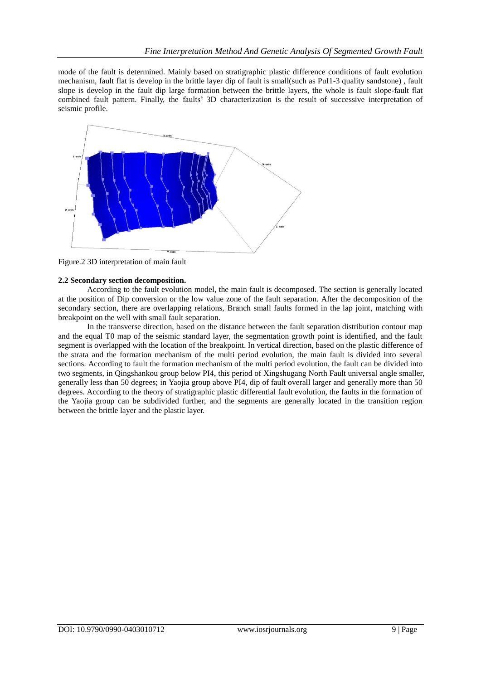mode of the fault is determined. Mainly based on stratigraphic plastic difference conditions of fault evolution mechanism, fault flat is develop in the brittle layer dip of fault is small(such as PuI1-3 quality sandstone) , fault slope is develop in the fault dip large formation between the brittle layers, the whole is fault slope-fault flat combined fault pattern. Finally, the faults' 3D characterization is the result of successive interpretation of seismic profile.



Figure.2 3D interpretation of main fault

### **2.2 Secondary section decomposition.**

According to the fault evolution model, the main fault is decomposed. The section is generally located at the position of Dip conversion or the low value zone of the fault separation. After the decomposition of the secondary section, there are overlapping relations, Branch small faults formed in the lap joint, matching with breakpoint on the well with small fault separation.

In the transverse direction, based on the distance between the fault separation distribution contour map and the equal T0 map of the seismic standard layer, the segmentation growth point is identified, and the fault segment is overlapped with the location of the breakpoint. In vertical direction, based on the plastic difference of the strata and the formation mechanism of the multi period evolution, the main fault is divided into several sections. According to fault the formation mechanism of the multi period evolution, the fault can be divided into two segments, in Qingshankou group below PI4, this period of Xingshugang North Fault universal angle smaller, generally less than 50 degrees; in Yaojia group above PI4, dip of fault overall larger and generally more than 50 degrees. According to the theory of stratigraphic plastic differential fault evolution, the faults in the formation of the Yaojia group can be subdivided further, and the segments are generally located in the transition region between the brittle layer and the plastic layer.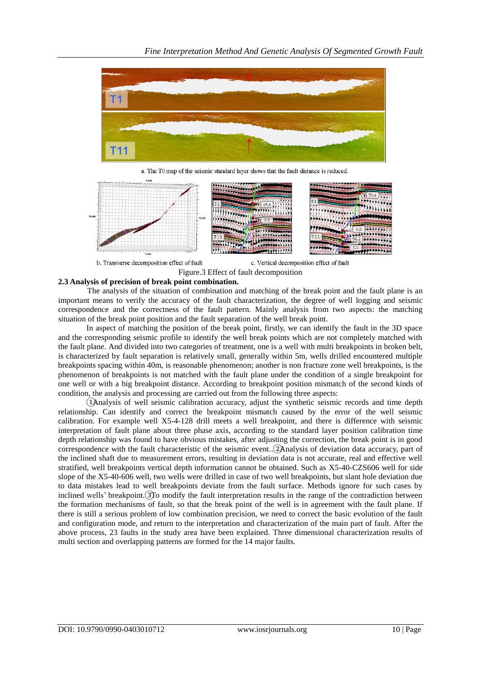

a. The T0 map of the seismic standard layer shows that the fault distance is reduced.



b. Transverse decomposition effect of fault

c. Vertical decomposition effect of fault

#### **2.3 Analysis of precision of break point combination.**

The analysis of the situation of combination and matching of the break point and the fault plane is an important means to verify the accuracy of the fault characterization, the degree of well logging and seismic correspondence and the correctness of the fault pattern. Mainly analysis from two aspects: the matching situation of the break point position and the fault separation of the well break point.

Figure.3 Effect of fault decomposition

In aspect of matching the position of the break point, firstly, we can identify the fault in the 3D space and the corresponding seismic profile to identify the well break points which are not completely matched with the fault plane. And divided into two categories of treatment, one is a well with multi breakpoints in broken belt, is characterized by fault separation is relatively small, generally within 5m, wells drilled encountered multiple breakpoints spacing within 40m, is reasonable phenomenon; another is non fracture zone well breakpoints, is the phenomenon of breakpoints is not matched with the fault plane under the condition of a single breakpoint for one well or with a big breakpoint distance. According to breakpoint position mismatch of the second kinds of condition, the analysis and processing are carried out from the following three aspects:

①Analysis of well seismic calibration accuracy, adjust the synthetic seismic records and time depth relationship. Can identify and correct the breakpoint mismatch caused by the error of the well seismic calibration. For example well X5-4-128 drill meets a well breakpoint, and there is difference with seismic interpretation of fault plane about three phase axis, according to the standard layer position calibration time depth relationship was found to have obvious mistakes, after adjusting the correction, the break point is in good correspondence with the fault characteristic of the seismic event..②Analysis of deviation data accuracy, part of the inclined shaft due to measurement errors, resulting in deviation data is not accurate, real and effective well stratified, well breakpoints vertical depth information cannot be obtained. Such as X5-40-CZS606 well for side slope of the X5-40-606 well, two wells were drilled in case of two well breakpoints, but slant hole deviation due to data mistakes lead to well breakpoints deviate from the fault surface. Methods ignore for such cases by inclined wells' breakpoint. To modify the fault interpretation results in the range of the contradiction between the formation mechanisms of fault, so that the break point of the well is in agreement with the fault plane. If there is still a serious problem of low combination precision, we need to correct the basic evolution of the fault and configuration mode, and return to the interpretation and characterization of the main part of fault. After the above process, 23 faults in the study area have been explained. Three dimensional characterization results of multi section and overlapping patterns are formed for the 14 major faults.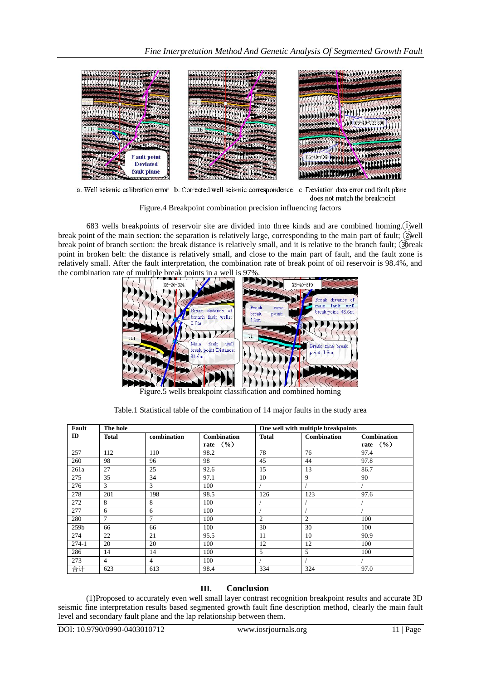

a. Well seismic calibration error b. Corrected well seismic correspondence c. Deviation data error and fault plane does not match the breakpoint

Figure.4 Breakpoint combination precision influencing factors

683 wells breakpoints of reservoir site are divided into three kinds and are combined homing. (Twell break point of the main section: the separation is relatively large, corresponding to the main part of fault;  $\widetilde{Q}$ well break point of branch section: the break distance is relatively small, and it is relative to the branch fault; ③break point in broken belt: the distance is relatively small, and close to the main part of fault, and the fault zone is relatively small. After the fault interpretation, the combination rate of break point of oil reservoir is 98.4%, and the combination rate of multiple break points in a well is 97%.



Figure.5 wells breakpoint classification and combined homing

| Fault   | The hole     |                |                      | One well with multiple breakpoints |                    |                      |
|---------|--------------|----------------|----------------------|------------------------------------|--------------------|----------------------|
| ID      | <b>Total</b> | combination    | <b>Combination</b>   | <b>Total</b>                       | <b>Combination</b> | Combination          |
|         |              |                | rate $(\frac{9}{6})$ |                                    |                    | rate $(\frac{6}{6})$ |
| 257     | 112          | 110            | 98.2                 | 78                                 | 76                 | 97.4                 |
| 260     | 98           | 96             | 98                   | 45                                 | 44                 | 97.8                 |
| 261a    | 27           | 25             | 92.6                 | 15                                 | 13                 | 86.7                 |
| 275     | 35           | 34             | 97.1                 | 10                                 | 9                  | 90                   |
| 276     | 3            | 3              | 100                  |                                    |                    |                      |
| 278     | 201          | 198            | 98.5                 | 126                                | 123                | 97.6                 |
| 272     | 8            | 8              | 100                  |                                    |                    |                      |
| 277     | 6            | 6              | 100                  |                                    |                    |                      |
| 280     | $\tau$       | $\tau$         | 100                  | 2                                  | $\overline{c}$     | 100                  |
| 259b    | 66           | 66             | 100                  | 30                                 | 30                 | 100                  |
| 274     | 22           | 21             | 95.5                 | 11                                 | 10                 | 90.9                 |
| $274-1$ | 20           | 20             | 100                  | 12                                 | 12                 | 100                  |
| 286     | 14           | 14             | 100                  | 5                                  | 5                  | 100                  |
| 273     | 4            | $\overline{4}$ | 100                  |                                    |                    |                      |
| 合计      | 623          | 613            | 98.4                 | 334                                | 324                | 97.0                 |

Table.1 Statistical table of the combination of 14 major faults in the study area

## **III. Conclusion**

(1)Proposed to accurately even well small layer contrast recognition breakpoint results and accurate 3D seismic fine interpretation results based segmented growth fault fine description method, clearly the main fault level and secondary fault plane and the lap relationship between them.